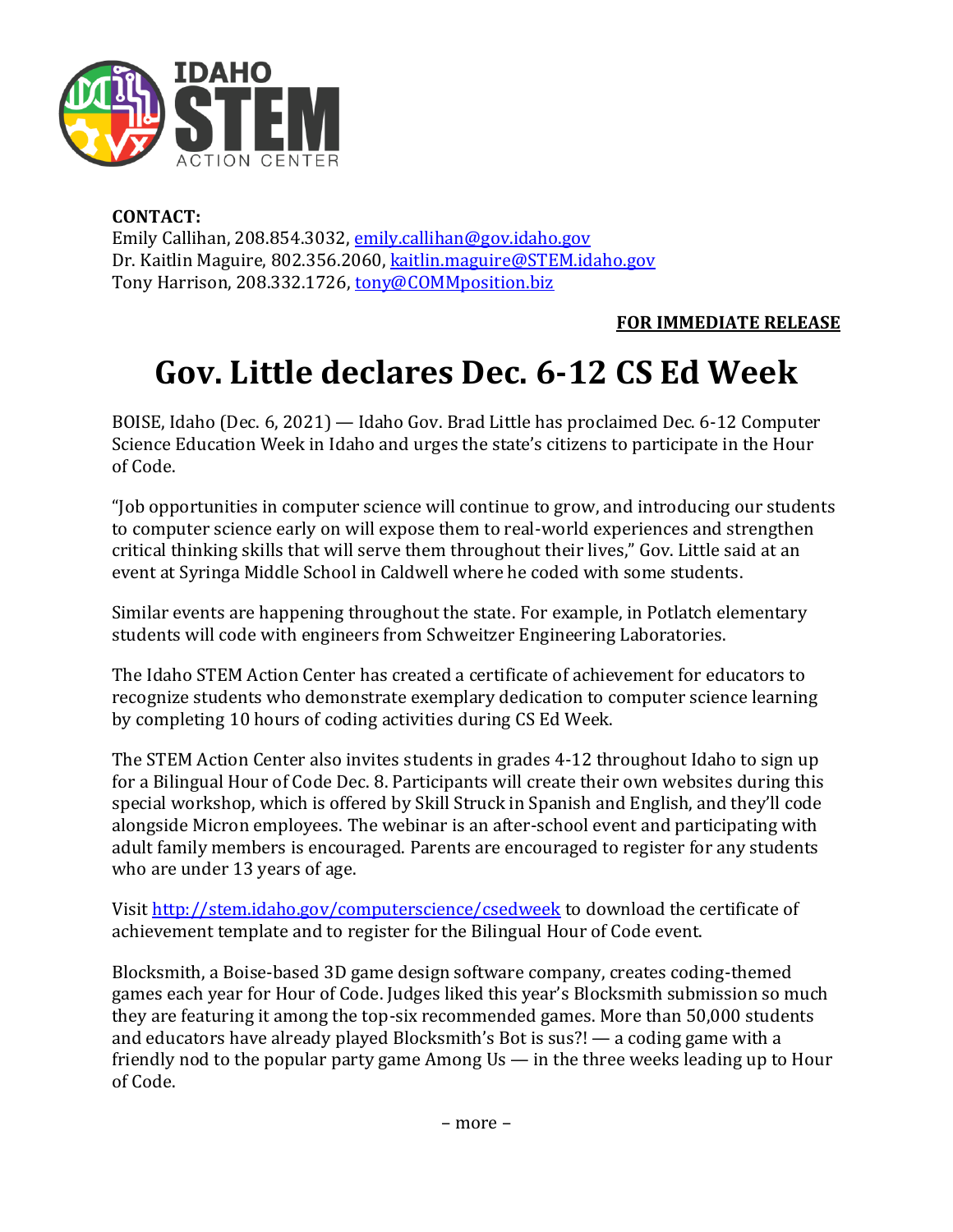

## **CONTACT:**

Emily Callihan, 208.854.3032, [emily.callihan@gov.idaho.gov](mailto:emily.callihan@gov.idaho.gov) Dr. Kaitlin Maguire, 802.356.2060[, kaitlin.maguire@STEM.idaho.gov](mailto:kaitlin.maguire@STEM.idaho.gov) Tony Harrison, 208.332.1726, [tony@COMMposition.biz](mailto:tony@COMMposition.biz)

**FOR IMMEDIATE RELEASE**

# **Gov. Little declares Dec. 6-12 CS Ed Week**

BOISE, Idaho (Dec. 6, 2021) — Idaho Gov. Brad Little has proclaimed Dec. 6-12 Computer Science Education Week in Idaho and urges the state's citizens to participate in the Hour of Code.

"Job opportunities in computer science will continue to grow, and introducing our students to computer science early on will expose them to real-world experiences and strengthen critical thinking skills that will serve them throughout their lives," Gov. Little said at an event at Syringa Middle School in Caldwell where he coded with some students.

Similar events are happening throughout the state. For example, in Potlatch elementary students will code with engineers from Schweitzer Engineering Laboratories.

The Idaho STEM Action Center has created a certificate of achievement for educators to recognize students who demonstrate exemplary dedication to computer science learning by completing 10 hours of coding activities during CS Ed Week.

The STEM Action Center also invites students in grades 4-12 throughout Idaho to sign up for a Bilingual Hour of Code Dec. 8. Participants will create their own websites during this special workshop, which is offered by Skill Struck in Spanish and English, and they'll code alongside Micron employees. The webinar is an after-school event and participating with adult family members is encouraged. Parents are encouraged to register for any students who are under 13 years of age.

Visit <http://stem.idaho.gov/computerscience/csedweek> to download the certificate of achievement template and to register for the Bilingual Hour of Code event.

Blocksmith, a Boise-based 3D game design software company, creates coding-themed games each year for Hour of Code. Judges liked this year's Blocksmith submission so much they are featuring it among the top-six recommended games. More than 50,000 students and educators have already played Blocksmith's Bot is sus?! — a coding game with a friendly nod to the popular party game Among Us — in the three weeks leading up to Hour of Code.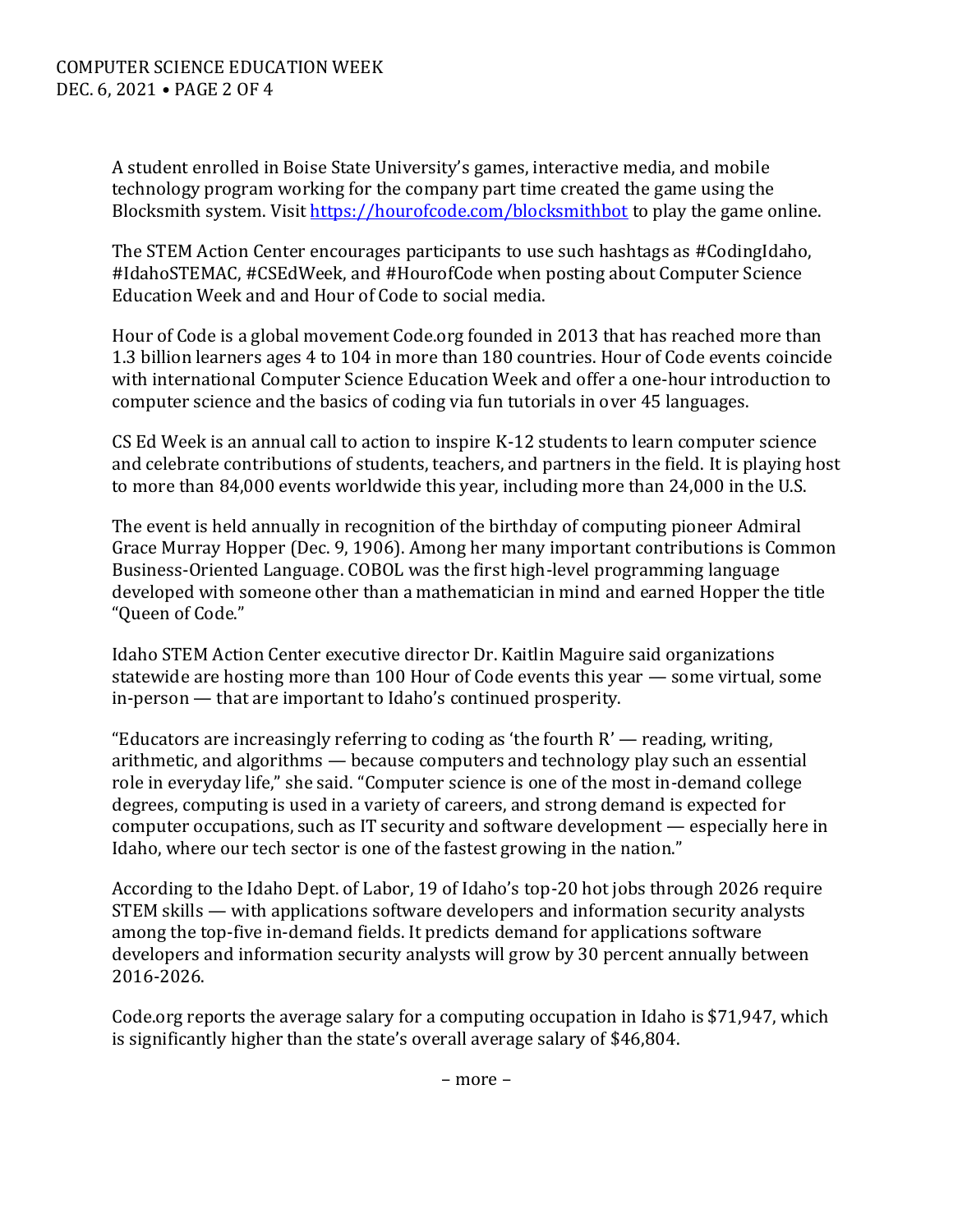A student enrolled in Boise State University's games, interactive media, and mobile technology program working for the company part time created the game using the Blocksmith system. Visit<https://hourofcode.com/blocksmithbot> to play the game online.

The STEM Action Center encourages participants to use such hashtags as #CodingIdaho, #IdahoSTEMAC, #CSEdWeek, and #HourofCode when posting about Computer Science Education Week and and Hour of Code to social media.

Hour of Code is a global movement Code.org founded in 2013 that has reached more than 1.3 billion learners ages 4 to 104 in more than 180 countries. Hour of Code events coincide with international Computer Science Education Week and offer a one-hour introduction to computer science and the basics of coding via fun tutorials in over 45 languages.

CS Ed Week is an annual call to action to inspire K-12 students to learn computer science and celebrate contributions of students, teachers, and partners in the field. It is playing host to more than 84,000 events worldwide this year, including more than 24,000 in the U.S.

The event is held annually in recognition of the birthday of computing pioneer Admiral Grace Murray Hopper (Dec. 9, 1906). Among her many important contributions is Common Business-Oriented Language. COBOL was the first high-level programming language developed with someone other than a mathematician in mind and earned Hopper the title "Queen of Code."

Idaho STEM Action Center executive director Dr. Kaitlin Maguire said organizations statewide are hosting more than 100 Hour of Code events this year — some virtual, some in-person — that are important to Idaho's continued prosperity.

"Educators are increasingly referring to coding as 'the fourth  $R'$  — reading, writing, arithmetic, and algorithms — because computers and technology play such an essential role in everyday life," she said. "Computer science is one of the most in-demand college degrees, computing is used in a variety of careers, and strong demand is expected for computer occupations, such as IT security and software development — especially here in Idaho, where our tech sector is one of the fastest growing in the nation."

According to the Idaho Dept. of Labor, 19 of Idaho's top-20 hot jobs through 2026 require STEM skills — with applications software developers and information security analysts among the top-five in-demand fields. It predicts demand for applications software developers and information security analysts will grow by 30 percent annually between 2016-2026.

Code.org reports the average salary for a computing occupation in Idaho is \$71,947, which is significantly higher than the state's overall average salary of \$46,804.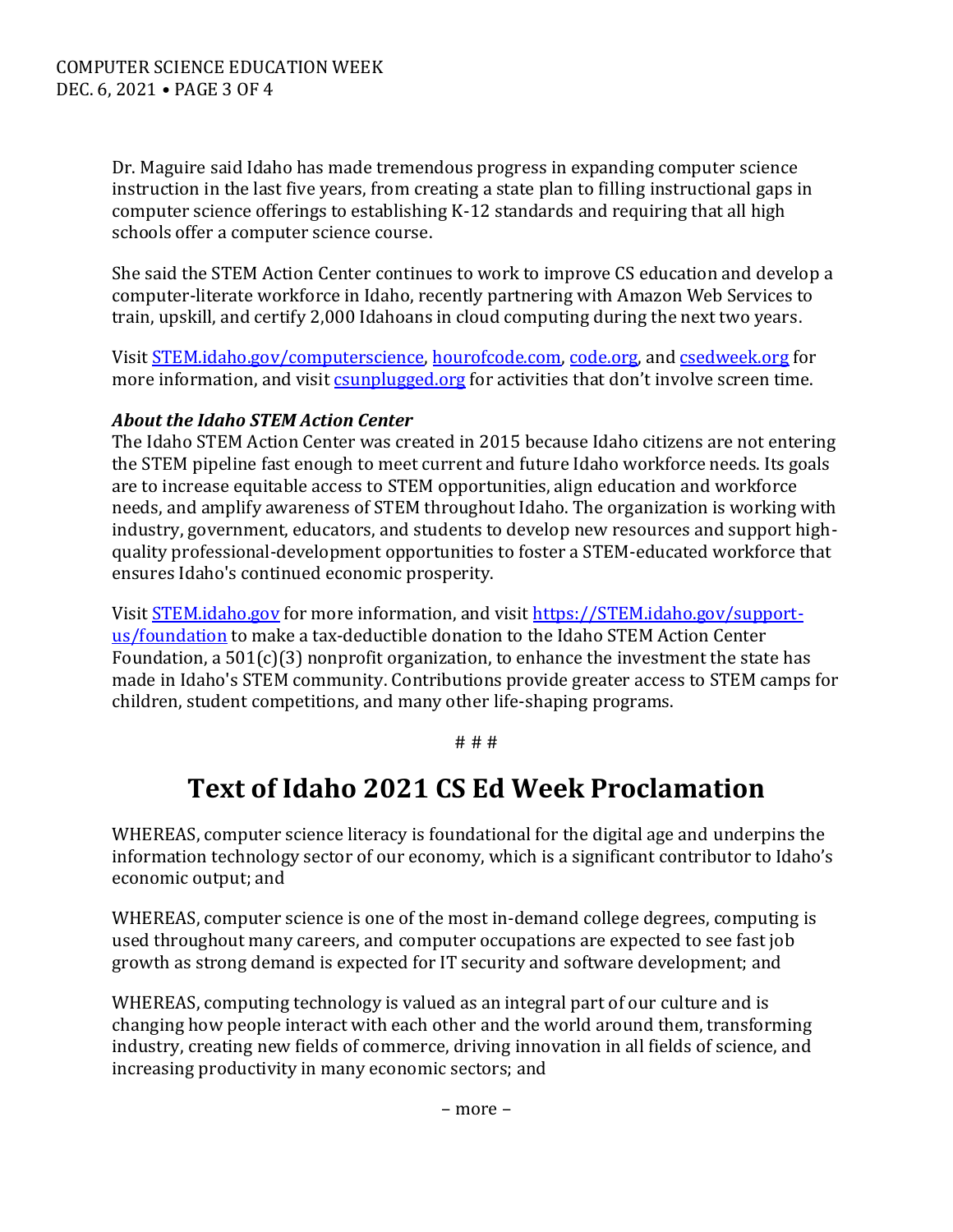Dr. Maguire said Idaho has made tremendous progress in expanding computer science instruction in the last five years, from creating a state plan to filling instructional gaps in computer science offerings to establishing K-12 standards and requiring that all high schools offer a computer science course.

She said the STEM Action Center continues to work to improve CS education and develop a computer-literate workforce in Idaho, recently partnering with Amazon Web Services to train, upskill, and certify 2,000 Idahoans in cloud computing during the next two years.

Visit [STEM.idaho.gov/computerscience,](https://stem.idaho.gov/computerscience) [hourofcode.com,](https://hourofcode.com/) [code.org,](https://code.org/) an[d csedweek.org](https://www.csedweek.org/) for more information, and visit *csunplugged.org* for activities that don't involve screen time.

# *About the Idaho STEM Action Center*

The Idaho STEM Action Center was created in 2015 because Idaho citizens are not entering the STEM pipeline fast enough to meet current and future Idaho workforce needs. Its goals are to increase equitable access to STEM opportunities, align education and workforce needs, and amplify awareness of STEM throughout Idaho. The organization is working with industry, government, educators, and students to develop new resources and support highquality professional-development opportunities to foster a STEM-educated workforce that ensures Idaho's continued economic prosperity.

Visit [STEM.idaho.gov](http://stem.idaho.gov/) for more information, and visit [https://STEM.idaho.gov/support](https://stem.idaho.gov/support-us/foundation)[us/foundation](https://stem.idaho.gov/support-us/foundation) to make a tax-deductible donation to the Idaho STEM Action Center Foundation, a  $501(c)(3)$  nonprofit organization, to enhance the investment the state has made in Idaho's STEM community. Contributions provide greater access to STEM camps for children, student competitions, and many other life-shaping programs.

#### # # #

# **Text of Idaho 2021 CS Ed Week Proclamation**

WHEREAS, computer science literacy is foundational for the digital age and underpins the information technology sector of our economy, which is a significant contributor to Idaho's economic output; and

WHEREAS, computer science is one of the most in-demand college degrees, computing is used throughout many careers, and computer occupations are expected to see fast job growth as strong demand is expected for IT security and software development; and

WHEREAS, computing technology is valued as an integral part of our culture and is changing how people interact with each other and the world around them, transforming industry, creating new fields of commerce, driving innovation in all fields of science, and increasing productivity in many economic sectors; and